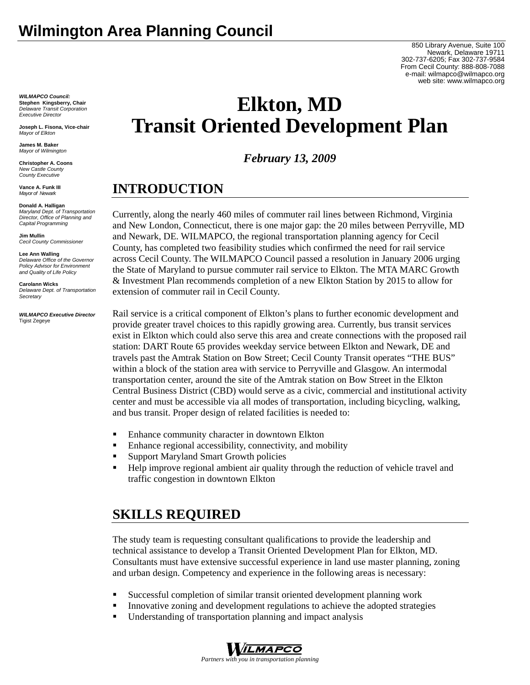850 Library Avenue, Suite 100 Newark, Delaware 19711 302-737-6205; Fax 302-737-9584 From Cecil County: 888-808-7088 e-mail: wilmapco@wilmapco.org web site: www.wilmapco.org

# **Elkton, MD Transit Oriented Development Plan**

*February 13, 2009* 

## **INTRODUCTION**

Currently, along the nearly 460 miles of commuter rail lines between Richmond, Virginia and New London, Connecticut, there is one major gap: the 20 miles between Perryville, MD and Newark, DE. WILMAPCO, the regional transportation planning agency for Cecil County, has completed two feasibility studies which confirmed the need for rail service across Cecil County. The WILMAPCO Council passed a resolution in January 2006 urging the State of Maryland to pursue commuter rail service to Elkton. The MTA MARC Growth & Investment Plan recommends completion of a new Elkton Station by 2015 to allow for extension of commuter rail in Cecil County.

Rail service is a critical component of Elkton's plans to further economic development and provide greater travel choices to this rapidly growing area. Currently, bus transit services exist in Elkton which could also serve this area and create connections with the proposed rail station: DART Route 65 provides weekday service between Elkton and Newark, DE and travels past the Amtrak Station on Bow Street; Cecil County Transit operates "THE BUS" within a block of the station area with service to Perryville and Glasgow. An intermodal transportation center, around the site of the Amtrak station on Bow Street in the Elkton Central Business District (CBD) would serve as a civic, commercial and institutional activity center and must be accessible via all modes of transportation, including bicycling, walking, and bus transit. Proper design of related facilities is needed to:

- Enhance community character in downtown Elkton
- Enhance regional accessibility, connectivity, and mobility
- **Support Maryland Smart Growth policies**
- **Help improve regional ambient air quality through the reduction of vehicle travel and** traffic congestion in downtown Elkton

## **SKILLS REQUIRED**

The study team is requesting consultant qualifications to provide the leadership and technical assistance to develop a Transit Oriented Development Plan for Elkton, MD. Consultants must have extensive successful experience in land use master planning, zoning and urban design. Competency and experience in the following areas is necessary:

- Successful completion of similar transit oriented development planning work
- Innovative zoning and development regulations to achieve the adopted strategies
- Understanding of transportation planning and impact analysis



**Joseph L. Fisona, Vice-chair**  *Mayor of Elkton* 

**James M. Baker**  *Mayor of Wilmington*

**Christopher A. Coons**  *New Castle County County Executive* 

**Vance A. Funk III**  *Mayor of Newark* 

**Donald A. Halligan** 

*Maryland Dept. of Transportation Director, Office of Planning and Capital Programming* 

**Jim Mullin** *Cecil County Commissioner* 

**Lee Ann Walling**  *Delaware Office of the Governor Policy Advisor for Environment and Quality of Life Policy* 

**Carolann Wicks**  *Delaware Dept. of Transportation Secretary* 

#### *WILMAPCO Executive Director*  Tigist Zegeye

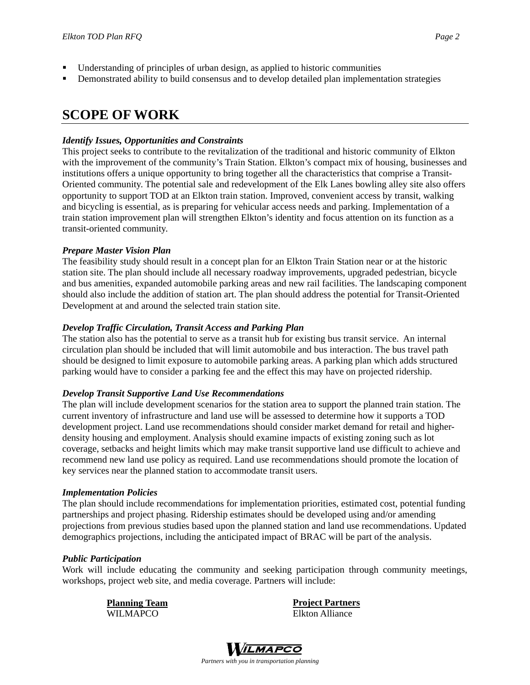- Understanding of principles of urban design, as applied to historic communities
- **•** Demonstrated ability to build consensus and to develop detailed plan implementation strategies

### **SCOPE OF WORK**

### *Identify Issues, Opportunities and Constraints*

This project seeks to contribute to the revitalization of the traditional and historic community of Elkton with the improvement of the community's Train Station. Elkton's compact mix of housing, businesses and institutions offers a unique opportunity to bring together all the characteristics that comprise a Transit-Oriented community. The potential sale and redevelopment of the Elk Lanes bowling alley site also offers opportunity to support TOD at an Elkton train station. Improved, convenient access by transit, walking and bicycling is essential, as is preparing for vehicular access needs and parking. Implementation of a train station improvement plan will strengthen Elkton's identity and focus attention on its function as a transit-oriented community.

### *Prepare Master Vision Plan*

The feasibility study should result in a concept plan for an Elkton Train Station near or at the historic station site. The plan should include all necessary roadway improvements, upgraded pedestrian, bicycle and bus amenities, expanded automobile parking areas and new rail facilities. The landscaping component should also include the addition of station art. The plan should address the potential for Transit-Oriented Development at and around the selected train station site.

### *Develop Traffic Circulation, Transit Access and Parking Plan*

The station also has the potential to serve as a transit hub for existing bus transit service. An internal circulation plan should be included that will limit automobile and bus interaction. The bus travel path should be designed to limit exposure to automobile parking areas. A parking plan which adds structured parking would have to consider a parking fee and the effect this may have on projected ridership.

#### *Develop Transit Supportive Land Use Recommendations*

The plan will include development scenarios for the station area to support the planned train station. The current inventory of infrastructure and land use will be assessed to determine how it supports a TOD development project. Land use recommendations should consider market demand for retail and higherdensity housing and employment. Analysis should examine impacts of existing zoning such as lot coverage, setbacks and height limits which may make transit supportive land use difficult to achieve and recommend new land use policy as required. Land use recommendations should promote the location of key services near the planned station to accommodate transit users.

#### *Implementation Policies*

The plan should include recommendations for implementation priorities, estimated cost, potential funding partnerships and project phasing. Ridership estimates should be developed using and/or amending projections from previous studies based upon the planned station and land use recommendations. Updated demographics projections, including the anticipated impact of BRAC will be part of the analysis.

#### *Public Participation*

Work will include educating the community and seeking participation through community meetings, workshops, project web site, and media coverage. Partners will include:

> **Planning Team** WILMAPCO

**Project Partners** Elkton Alliance